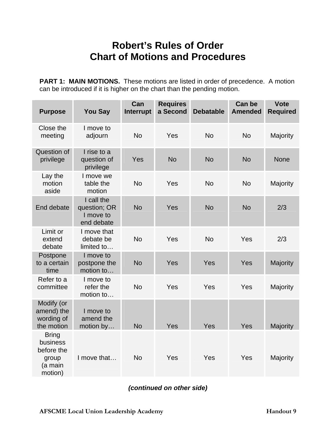## **Robert's Rules of Order Chart of Motions and Procedures**

**PART 1: MAIN MOTIONS.** These motions are listed in order of precedence. A motion can be introduced if it is higher on the chart than the pending motion.

| <b>Purpose</b>                                                        | <b>You Say</b>                                        | Can<br>Interrupt | <b>Requires</b><br>a Second | <b>Debatable</b> | <b>Can be</b><br><b>Amended</b> | <b>Vote</b><br><b>Required</b> |
|-----------------------------------------------------------------------|-------------------------------------------------------|------------------|-----------------------------|------------------|---------------------------------|--------------------------------|
| Close the<br>meeting                                                  | I move to<br>adjourn                                  | <b>No</b>        | Yes                         | <b>No</b>        | <b>No</b>                       | Majority                       |
| Question of<br>privilege                                              | I rise to a<br>question of<br>privilege               | Yes              | <b>No</b>                   | <b>No</b>        | <b>No</b>                       | <b>None</b>                    |
| Lay the<br>motion<br>aside                                            | I move we<br>table the<br>motion                      | <b>No</b>        | Yes                         | <b>No</b>        | <b>No</b>                       | Majority                       |
| End debate                                                            | I call the<br>question; OR<br>I move to<br>end debate | <b>No</b>        | Yes                         | <b>No</b>        | <b>No</b>                       | 2/3                            |
| Limit or<br>extend<br>debate                                          | I move that<br>debate be<br>limited to                | <b>No</b>        | Yes                         | <b>No</b>        | Yes                             | 2/3                            |
| Postpone<br>to a certain<br>time                                      | I move to<br>postpone the<br>motion to                | <b>No</b>        | Yes                         | Yes              | Yes                             | Majority                       |
| Refer to a<br>committee                                               | I move to<br>refer the<br>motion to                   | <b>No</b>        | Yes                         | Yes              | Yes                             | Majority                       |
| Modify (or<br>amend) the<br>wording of<br>the motion                  | I move to<br>amend the<br>motion by                   | <b>No</b>        | Yes                         | Yes              | Yes                             | Majority                       |
| <b>Bring</b><br>business<br>before the<br>group<br>(a main<br>motion) | I move that                                           | <b>No</b>        | Yes                         | Yes              | Yes                             | Majority                       |

*(continued on other side)*